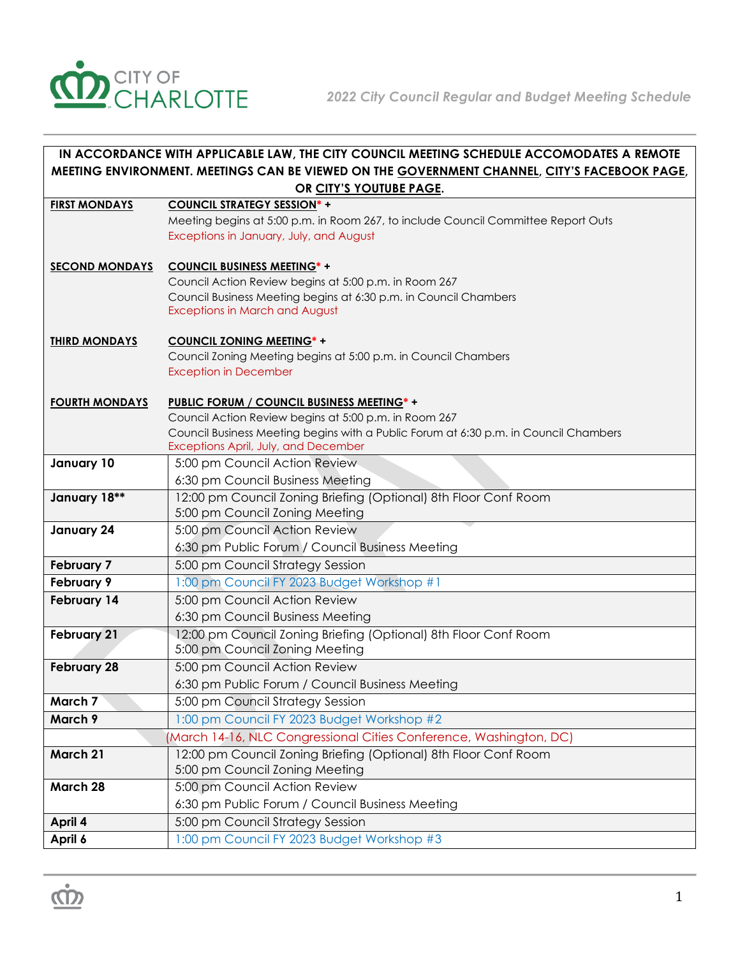

| IN ACCORDANCE WITH APPLICABLE LAW, THE CITY COUNCIL MEETING SCHEDULE ACCOMODATES A REMOTE    |                                                                                                                              |  |
|----------------------------------------------------------------------------------------------|------------------------------------------------------------------------------------------------------------------------------|--|
| MEETING ENVIRONMENT. MEETINGS CAN BE VIEWED ON THE GOVERNMENT CHANNEL, CITY'S FACEBOOK PAGE, |                                                                                                                              |  |
|                                                                                              | OR CITY'S YOUTUBE PAGE.                                                                                                      |  |
| <b>FIRST MONDAYS</b>                                                                         | <b>COUNCIL STRATEGY SESSION*+</b>                                                                                            |  |
|                                                                                              | Meeting begins at 5:00 p.m. in Room 267, to include Council Committee Report Outs                                            |  |
|                                                                                              | Exceptions in January, July, and August                                                                                      |  |
| <b>SECOND MONDAYS</b>                                                                        | <b>COUNCIL BUSINESS MEETING*+</b>                                                                                            |  |
|                                                                                              | Council Action Review begins at 5:00 p.m. in Room 267                                                                        |  |
|                                                                                              | Council Business Meeting begins at 6:30 p.m. in Council Chambers                                                             |  |
|                                                                                              | <b>Exceptions in March and August</b>                                                                                        |  |
| <b>THIRD MONDAYS</b>                                                                         | <b>COUNCIL ZONING MEETING*+</b>                                                                                              |  |
|                                                                                              | Council Zoning Meeting begins at 5:00 p.m. in Council Chambers                                                               |  |
|                                                                                              | <b>Exception in December</b>                                                                                                 |  |
|                                                                                              |                                                                                                                              |  |
| <b>FOURTH MONDAYS</b>                                                                        | <b>PUBLIC FORUM / COUNCIL BUSINESS MEETING*+</b>                                                                             |  |
|                                                                                              | Council Action Review begins at 5:00 p.m. in Room 267                                                                        |  |
|                                                                                              | Council Business Meeting begins with a Public Forum at 6:30 p.m. in Council Chambers<br>Exceptions April, July, and December |  |
| January 10                                                                                   | 5:00 pm Council Action Review                                                                                                |  |
|                                                                                              | 6:30 pm Council Business Meeting                                                                                             |  |
| January 18**                                                                                 | 12:00 pm Council Zoning Briefing (Optional) 8th Floor Conf Room                                                              |  |
|                                                                                              | 5:00 pm Council Zoning Meeting                                                                                               |  |
| January 24                                                                                   | 5:00 pm Council Action Review                                                                                                |  |
|                                                                                              | 6:30 pm Public Forum / Council Business Meeting                                                                              |  |
| <b>February 7</b>                                                                            | 5:00 pm Council Strategy Session                                                                                             |  |
| February 9                                                                                   | 1:00 pm Council FY 2023 Budget Workshop #1                                                                                   |  |
| February 14                                                                                  | 5:00 pm Council Action Review                                                                                                |  |
|                                                                                              | 6:30 pm Council Business Meeting                                                                                             |  |
| <b>February 21</b>                                                                           | 12:00 pm Council Zoning Briefing (Optional) 8th Floor Conf Room                                                              |  |
|                                                                                              | 5:00 pm Council Zoning Meeting                                                                                               |  |
| <b>February 28</b>                                                                           | 5:00 pm Council Action Review                                                                                                |  |
|                                                                                              | 6:30 pm Public Forum / Council Business Meeting                                                                              |  |
| March 7                                                                                      | 5:00 pm Council Strategy Session                                                                                             |  |
| March 9                                                                                      | 1:00 pm Council FY 2023 Budget Workshop #2                                                                                   |  |
|                                                                                              | (March 14-16, NLC Congressional Cities Conference, Washington, DC)                                                           |  |
| March 21                                                                                     | 12:00 pm Council Zoning Briefing (Optional) 8th Floor Conf Room<br>5:00 pm Council Zoning Meeting                            |  |
| March 28                                                                                     | 5:00 pm Council Action Review                                                                                                |  |
|                                                                                              | 6:30 pm Public Forum / Council Business Meeting                                                                              |  |
| April 4                                                                                      | 5:00 pm Council Strategy Session                                                                                             |  |
| April 6                                                                                      | 1:00 pm Council FY 2023 Budget Workshop #3                                                                                   |  |
|                                                                                              |                                                                                                                              |  |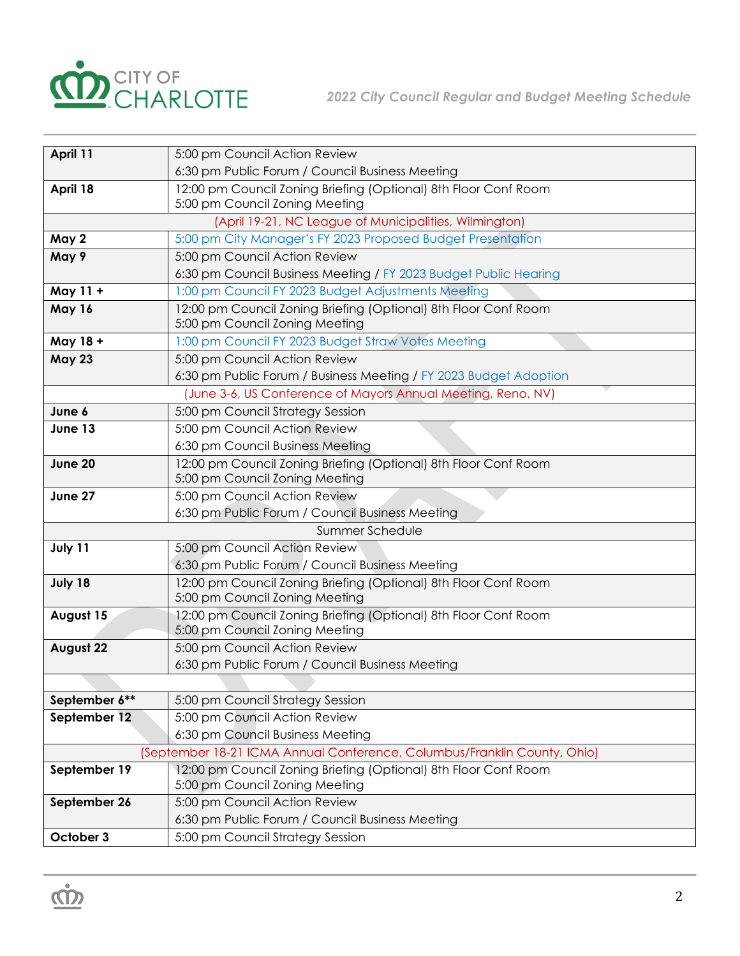

| April 11                                                                 | 5:00 pm Council Action Review                                                                     |  |
|--------------------------------------------------------------------------|---------------------------------------------------------------------------------------------------|--|
|                                                                          | 6:30 pm Public Forum / Council Business Meeting                                                   |  |
| April 18                                                                 | 12:00 pm Council Zoning Briefing (Optional) 8th Floor Conf Room                                   |  |
|                                                                          | 5:00 pm Council Zoning Meeting                                                                    |  |
| (April 19-21, NC League of Municipalities, Wilmington)                   |                                                                                                   |  |
| May 2                                                                    | 5:00 pm City Manager's FY 2023 Proposed Budget Presentation                                       |  |
| May 9                                                                    | 5:00 pm Council Action Review                                                                     |  |
|                                                                          | 6:30 pm Council Business Meeting / FY 2023 Budget Public Hearing                                  |  |
| May 11 +                                                                 | 1:00 pm Council FY 2023 Budget Adjustments Meeting                                                |  |
| May 16                                                                   | 12:00 pm Council Zoning Briefing (Optional) 8th Floor Conf Room                                   |  |
|                                                                          | 5:00 pm Council Zoning Meeting                                                                    |  |
| May 18 +                                                                 | 1:00 pm Council FY 2023 Budget Straw Votes Meeting                                                |  |
| <b>May 23</b>                                                            | 5:00 pm Council Action Review                                                                     |  |
|                                                                          | 6:30 pm Public Forum / Business Meeting / FY 2023 Budget Adoption                                 |  |
|                                                                          | (June 3-6, US Conference of Mayors Annual Meeting, Reno, NV)                                      |  |
| June 6                                                                   | 5:00 pm Council Strategy Session                                                                  |  |
| June 13                                                                  | 5:00 pm Council Action Review                                                                     |  |
|                                                                          | 6:30 pm Council Business Meeting                                                                  |  |
| June 20                                                                  | 12:00 pm Council Zoning Briefing (Optional) 8th Floor Conf Room<br>5:00 pm Council Zoning Meeting |  |
| June 27                                                                  | 5:00 pm Council Action Review                                                                     |  |
|                                                                          | 6:30 pm Public Forum / Council Business Meeting                                                   |  |
|                                                                          | Summer Schedule                                                                                   |  |
| July 11                                                                  | 5:00 pm Council Action Review                                                                     |  |
|                                                                          | 6:30 pm Public Forum / Council Business Meeting                                                   |  |
| July 18                                                                  | 12:00 pm Council Zoning Briefing (Optional) 8th Floor Conf Room                                   |  |
|                                                                          | 5:00 pm Council Zoning Meeting                                                                    |  |
| August 15                                                                | 12:00 pm Council Zoning Briefing (Optional) 8th Floor Conf Room                                   |  |
|                                                                          | 5:00 pm Council Zoning Meeting                                                                    |  |
| August 22                                                                | 5:00 pm Council Action Review                                                                     |  |
|                                                                          | 6:30 pm Public Forum / Council Business Meeting                                                   |  |
|                                                                          |                                                                                                   |  |
| September 6**                                                            | 5:00 pm Council Strategy Session                                                                  |  |
| September 12                                                             | 5:00 pm Council Action Review                                                                     |  |
|                                                                          | 6:30 pm Council Business Meeting                                                                  |  |
| (September 18-21 ICMA Annual Conference, Columbus/Franklin County, Ohio) |                                                                                                   |  |
| September 19                                                             | 12:00 pm Council Zoning Briefing (Optional) 8th Floor Conf Room                                   |  |
|                                                                          | 5:00 pm Council Zoning Meeting                                                                    |  |
| September 26                                                             | 5:00 pm Council Action Review                                                                     |  |
|                                                                          | 6:30 pm Public Forum / Council Business Meeting                                                   |  |
| October 3                                                                | 5:00 pm Council Strategy Session                                                                  |  |